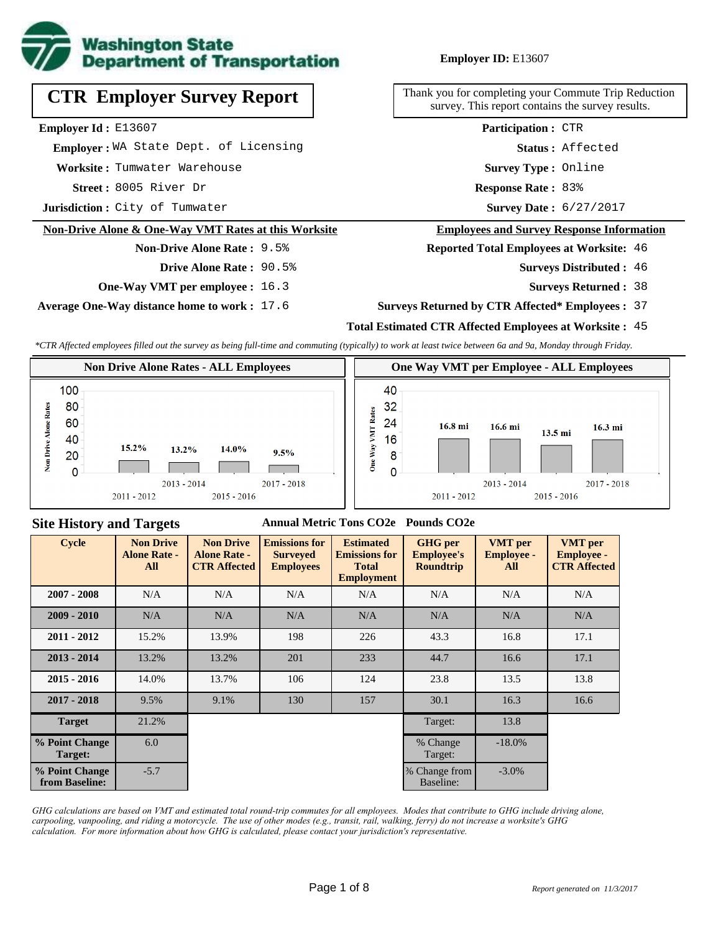

**CTR Employer Survey Report**

**Employer Id :** E13607

 **Employer :** WA State Dept. of Licensing

**Worksite :** Tumwater Warehouse

8005 River Dr **Response Rate :** 83% Street: 8005 River Dr

**Jurisdiction :** City of Tumwater

#### **Non-Drive Alone & One-Way VMT Rates at this Worksite**

### **Non-Drive Alone Rate :** 9.5%

**Drive Alone Rate :** 90.5%

**One-Way VMT per employee :** 16.3

**Average One-Way distance home to work :** 17.6

Thank you for completing your Commute Trip Reduction survey. This report contains the survey results.

> **Survey Type :** Online **Status :** Affected **Participation :** CTR

Survey Date: 6/27/2017

#### **Employees and Survey Response Information**

**Reported Total Employees at Worksite:** 46

- 46 **Surveys Distributed :**
	- **Surveys Returned :** 38

### **Surveys Returned by CTR Affected\* Employees :** 37

## **Total Estimated CTR Affected Employees at Worksite :** 45

*\*CTR Affected employees filled out the survey as being full-time and commuting (typically) to work at least twice between 6a and 9a, Monday through Friday.*



## **Site History and Targets**

## **Annual Metric Tons CO2e Pounds CO2e**

| <b>Cycle</b>                     | <b>Non Drive</b><br><b>Alone Rate -</b><br>All | <b>Non Drive</b><br><b>Alone Rate -</b><br><b>CTR Affected</b> | <b>Emissions for</b><br><b>Surveyed</b><br><b>Employees</b> | <b>Estimated</b><br><b>Emissions for</b><br><b>Total</b><br><b>Employment</b> | <b>GHG</b> per<br><b>Employee's</b><br><b>Roundtrip</b> | <b>VMT</b> per<br><b>Employee -</b><br>All | <b>VMT</b> per<br><b>Employee -</b><br><b>CTR Affected</b> |
|----------------------------------|------------------------------------------------|----------------------------------------------------------------|-------------------------------------------------------------|-------------------------------------------------------------------------------|---------------------------------------------------------|--------------------------------------------|------------------------------------------------------------|
| $2007 - 2008$                    | N/A                                            | N/A                                                            | N/A                                                         | N/A                                                                           | N/A                                                     | N/A                                        | N/A                                                        |
| $2009 - 2010$                    | N/A                                            | N/A                                                            | N/A                                                         | N/A                                                                           | N/A                                                     | N/A                                        | N/A                                                        |
| $2011 - 2012$                    | 15.2%                                          | 13.9%                                                          | 198                                                         | 226                                                                           | 43.3                                                    | 16.8                                       | 17.1                                                       |
| $2013 - 2014$                    | 13.2%                                          | 13.2%                                                          | 201                                                         | 233                                                                           | 44.7                                                    | 16.6                                       | 17.1                                                       |
| $2015 - 2016$                    | 14.0%                                          | 13.7%                                                          | 106                                                         | 124                                                                           | 23.8                                                    | 13.5                                       | 13.8                                                       |
| $2017 - 2018$                    | 9.5%                                           | 9.1%                                                           | 130                                                         | 157                                                                           | 30.1                                                    | 16.3                                       | 16.6                                                       |
| <b>Target</b>                    | 21.2%                                          |                                                                |                                                             |                                                                               | Target:                                                 | 13.8                                       |                                                            |
| % Point Change<br>Target:        | 6.0                                            |                                                                |                                                             |                                                                               | % Change<br>Target:                                     | $-18.0\%$                                  |                                                            |
| % Point Change<br>from Baseline: | $-5.7$                                         |                                                                |                                                             |                                                                               | % Change from<br>Baseline:                              | $-3.0\%$                                   |                                                            |

*GHG calculations are based on VMT and estimated total round-trip commutes for all employees. Modes that contribute to GHG include driving alone, carpooling, vanpooling, and riding a motorcycle. The use of other modes (e.g., transit, rail, walking, ferry) do not increase a worksite's GHG calculation. For more information about how GHG is calculated, please contact your jurisdiction's representative.*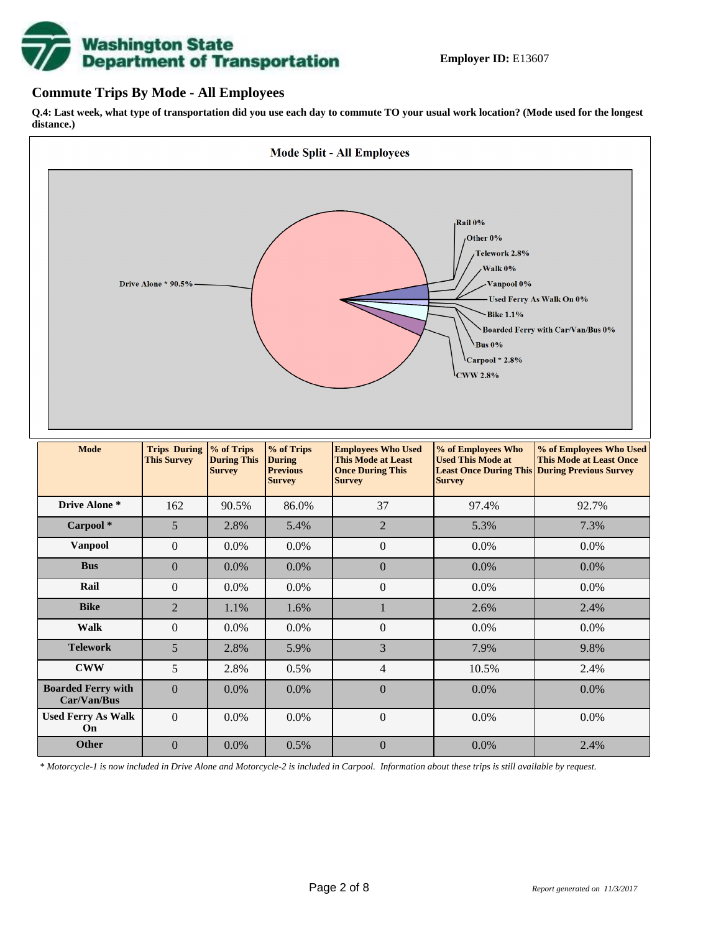# **Washington State<br>Department of Transportation**

# **Commute Trips By Mode - All Employees**

**Q.4: Last week, what type of transportation did you use each day to commute TO your usual work location? (Mode used for the longest distance.)**



*\* Motorcycle-1 is now included in Drive Alone and Motorcycle-2 is included in Carpool. Information about these trips is still available by request.*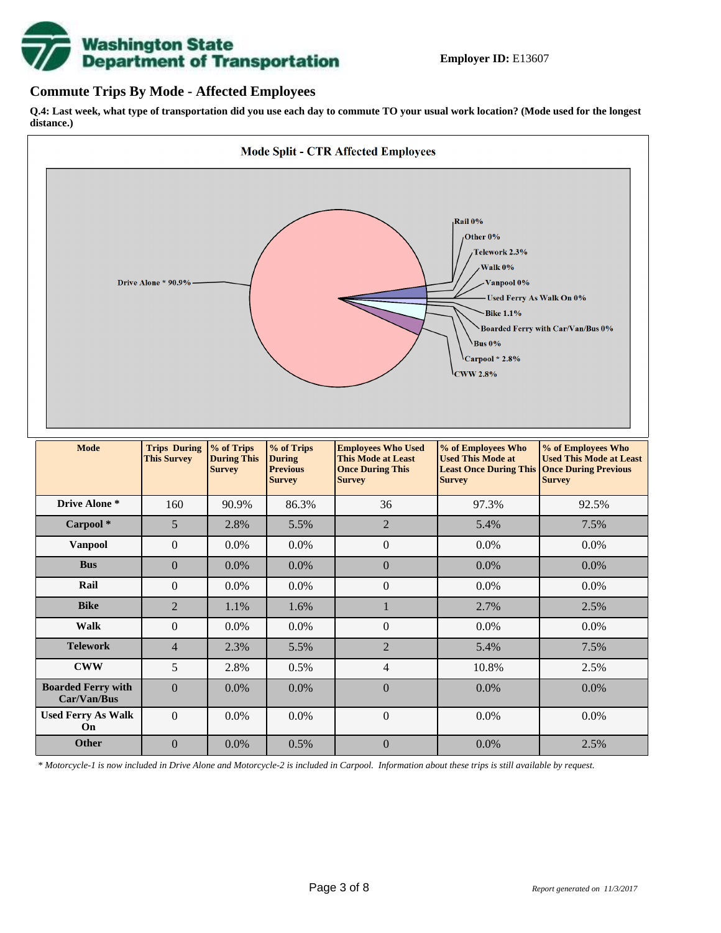

## **Commute Trips By Mode - Affected Employees**

**Q.4: Last week, what type of transportation did you use each day to commute TO your usual work location? (Mode used for the longest distance.)**



*\* Motorcycle-1 is now included in Drive Alone and Motorcycle-2 is included in Carpool. Information about these trips is still available by request.*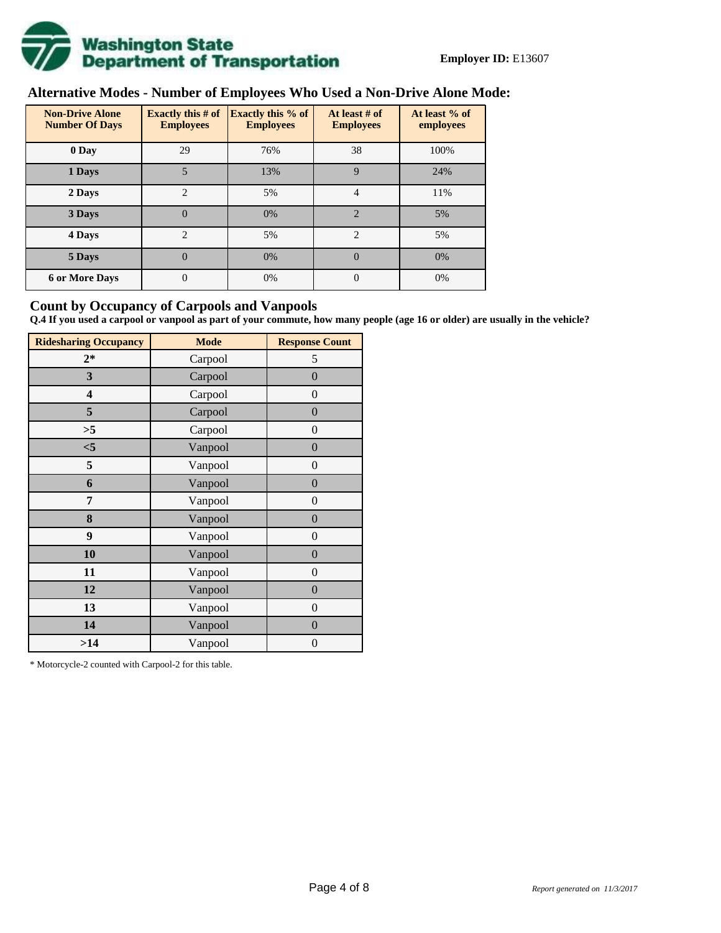

# **Alternative Modes - Number of Employees Who Used a Non-Drive Alone Mode:**

| <b>Non-Drive Alone</b><br><b>Number Of Days</b> | <b>Exactly this # of</b><br><b>Employees</b> | <b>Exactly this % of</b><br><b>Employees</b> | At least # of<br><b>Employees</b> | At least % of<br>employees |  |
|-------------------------------------------------|----------------------------------------------|----------------------------------------------|-----------------------------------|----------------------------|--|
| 0 Day                                           | 29                                           | 76%                                          | 38                                | 100%                       |  |
| 1 Days                                          | 5                                            | 13%                                          | 9                                 | 24%                        |  |
| 2 Days                                          | $\overline{2}$                               | 5%                                           | $\overline{4}$                    | 11%                        |  |
| 3 Days                                          | $\overline{0}$                               | 0%                                           | $\overline{2}$                    | 5%                         |  |
| 4 Days                                          | $\overline{c}$                               | 5%                                           | 2                                 | 5%                         |  |
| 5 Days                                          | 0                                            | 0%                                           | $\Omega$                          | 0%                         |  |
| <b>6 or More Days</b>                           | $\theta$                                     | 0%                                           | $\Omega$                          | 0%                         |  |

# **Count by Occupancy of Carpools and Vanpools**

**Q.4 If you used a carpool or vanpool as part of your commute, how many people (age 16 or older) are usually in the vehicle?**

| <b>Ridesharing Occupancy</b> | <b>Mode</b> | <b>Response Count</b> |
|------------------------------|-------------|-----------------------|
| $2*$                         | Carpool     | 5                     |
| 3                            | Carpool     | $\boldsymbol{0}$      |
| 4                            | Carpool     | $\theta$              |
| 5                            | Carpool     | $\overline{0}$        |
| >5                           | Carpool     | $\overline{0}$        |
| $<$ 5                        | Vanpool     | $\overline{0}$        |
| 5                            | Vanpool     | $\overline{0}$        |
| 6                            | Vanpool     | $\boldsymbol{0}$      |
| 7                            | Vanpool     | $\overline{0}$        |
| 8                            | Vanpool     | $\boldsymbol{0}$      |
| 9                            | Vanpool     | $\overline{0}$        |
| 10                           | Vanpool     | $\overline{0}$        |
| 11                           | Vanpool     | $\boldsymbol{0}$      |
| 12                           | Vanpool     | $\boldsymbol{0}$      |
| 13                           | Vanpool     | $\boldsymbol{0}$      |
| 14                           | Vanpool     | $\overline{0}$        |
| >14                          | Vanpool     | $\boldsymbol{0}$      |

\* Motorcycle-2 counted with Carpool-2 for this table.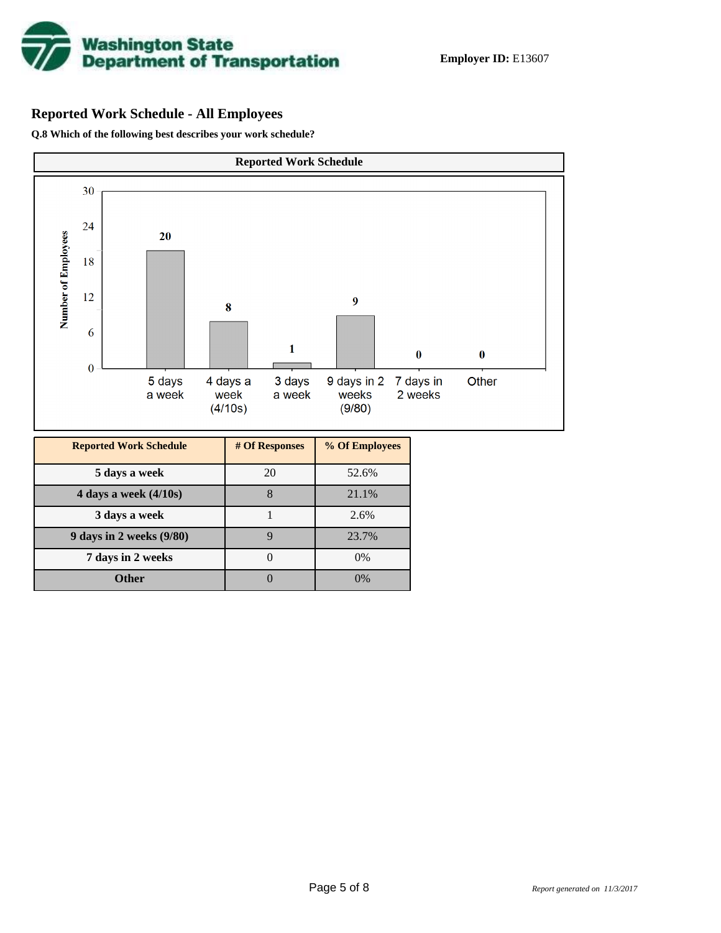

# **Reported Work Schedule - All Employees**

**Q.8 Which of the following best describes your work schedule?**

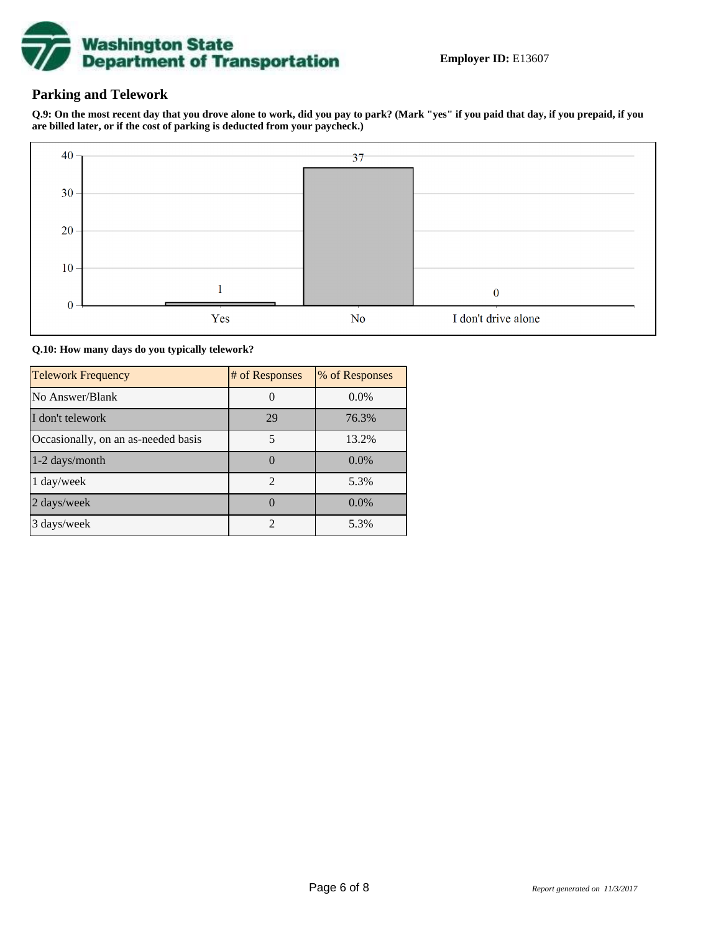

# **Parking and Telework**

**Q.9: On the most recent day that you drove alone to work, did you pay to park? (Mark "yes" if you paid that day, if you prepaid, if you are billed later, or if the cost of parking is deducted from your paycheck.)**



**Q.10: How many days do you typically telework?**

| <b>Telework Frequency</b>           | # of Responses | % of Responses |
|-------------------------------------|----------------|----------------|
| No Answer/Blank                     |                | $0.0\%$        |
| I don't telework                    | 29             | 76.3%          |
| Occasionally, on an as-needed basis |                | 13.2%          |
| 1-2 days/month                      |                | $0.0\%$        |
| 1 day/week                          | $\overline{2}$ | 5.3%           |
| 2 days/week                         |                | $0.0\%$        |
| 3 days/week                         | $\mathfrak{D}$ | 5.3%           |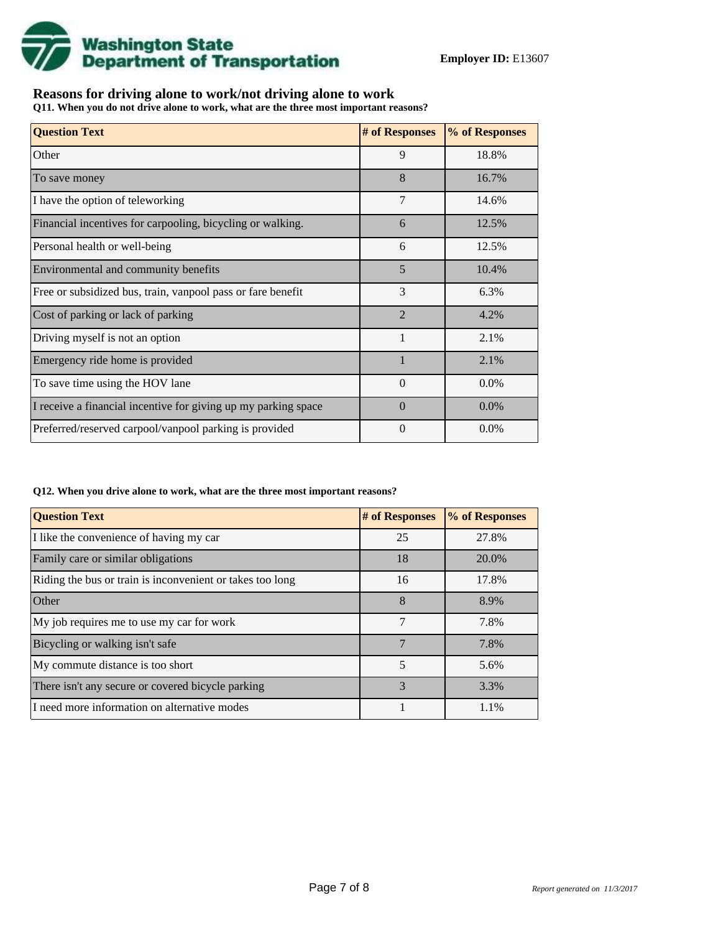

# **Reasons for driving alone to work/not driving alone to work**

**Q11. When you do not drive alone to work, what are the three most important reasons?**

| <b>Question Text</b>                                           | # of Responses | % of Responses |
|----------------------------------------------------------------|----------------|----------------|
| Other                                                          | 9              | 18.8%          |
| To save money                                                  | 8              | 16.7%          |
| I have the option of teleworking                               | 7              | 14.6%          |
| Financial incentives for carpooling, bicycling or walking.     | 6              | 12.5%          |
| Personal health or well-being                                  | 6              | 12.5%          |
| Environmental and community benefits                           | 5              | 10.4%          |
| Free or subsidized bus, train, vanpool pass or fare benefit    | 3              | 6.3%           |
| Cost of parking or lack of parking                             | $\overline{2}$ | 4.2%           |
| Driving myself is not an option                                | $\mathbf{1}$   | 2.1%           |
| Emergency ride home is provided                                |                | 2.1%           |
| To save time using the HOV lane                                | $\theta$       | $0.0\%$        |
| I receive a financial incentive for giving up my parking space | $\Omega$       | $0.0\%$        |
| Preferred/reserved carpool/vanpool parking is provided         | $\theta$       | $0.0\%$        |

#### **Q12. When you drive alone to work, what are the three most important reasons?**

| <b>Question Text</b>                                      | # of Responses | % of Responses |
|-----------------------------------------------------------|----------------|----------------|
| I like the convenience of having my car                   | 25             | 27.8%          |
| Family care or similar obligations                        | 18             | 20.0%          |
| Riding the bus or train is inconvenient or takes too long | 16             | 17.8%          |
| <b>Other</b>                                              | 8              | 8.9%           |
| My job requires me to use my car for work                 | 7              | 7.8%           |
| Bicycling or walking isn't safe                           | $\overline{7}$ | 7.8%           |
| My commute distance is too short                          | 5              | 5.6%           |
| There isn't any secure or covered bicycle parking         | 3              | 3.3%           |
| I need more information on alternative modes              |                | 1.1%           |